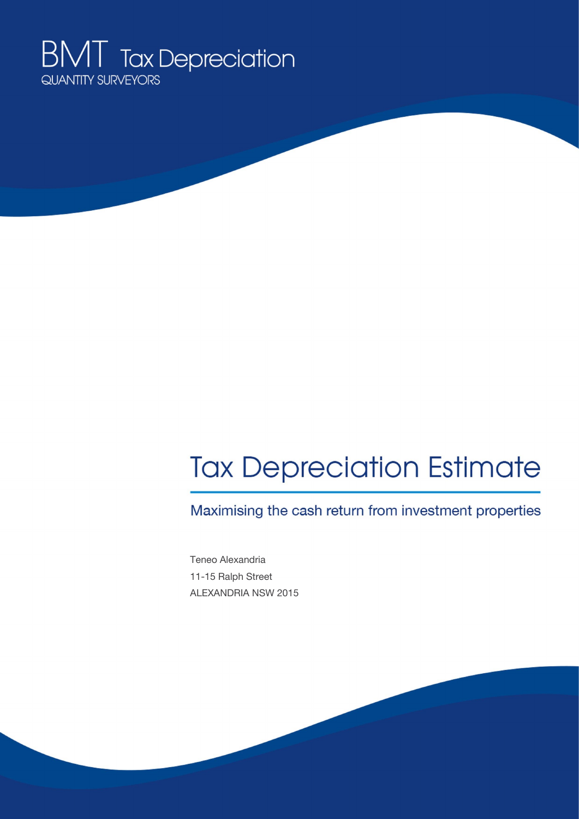

# **Tax Depreciation Estimate**

Maximising the cash return from investment properties

Teneo Alexandria 11-15 Ralph Street ALEXANDRIA NSW 2015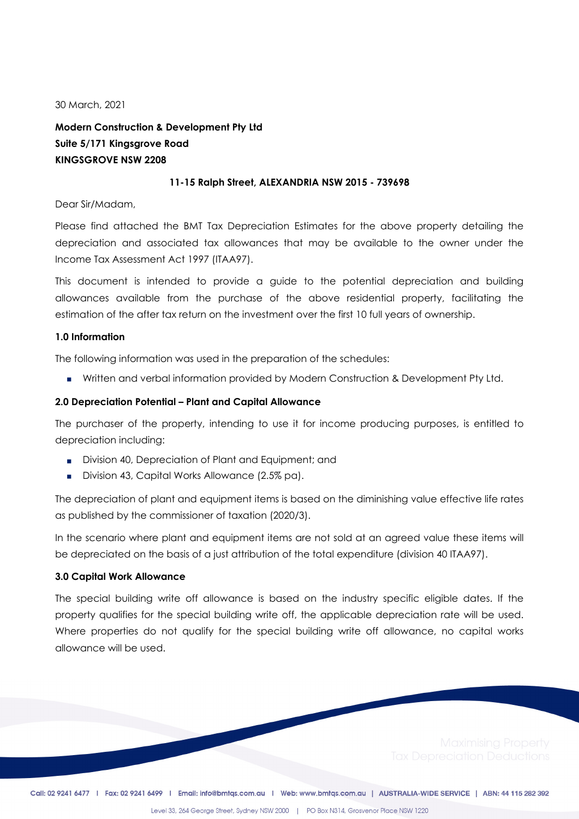30 March, 2021

**Modern Construction & Development Pty Ltd Suite 5/171 Kingsgrove Road KINGSGROVE NSW 2208**

#### **11-15 Ralph Street, ALEXANDRIA NSW 2015 - 739698**

Dear Sir/Madam,

Please find attached the BMT Tax Depreciation Estimates for the above property detailing the depreciation and associated tax allowances that may be available to the owner under the Income Tax Assessment Act 1997 (ITAA97).

This document is intended to provide a guide to the potential depreciation and building allowances available from the purchase of the above residential property, facilitating the estimation of the after tax return on the investment over the first 10 full years of ownership.

#### **1.0 Information**

The following information was used in the preparation of the schedules:

■ Written and verbal information provided by Modern Construction & Development Pty Ltd.

#### **2.0 Depreciation Potential – Plant and Capital Allowance**

The purchaser of the property, intending to use it for income producing purposes, is entitled to depreciation including:

- **•** Division 40, Depreciation of Plant and Equipment; and
- Division 43, Capital Works Allowance (2.5% pa).

The depreciation of plant and equipment items is based on the diminishing value effective life rates as published by the commissioner of taxation (2020/3).

In the scenario where plant and equipment items are not sold at an agreed value these items will be depreciated on the basis of a just attribution of the total expenditure (division 40 ITAA97).

#### **3.0 Capital Work Allowance**

The special building write off allowance is based on the industry specific eligible dates. If the property qualifies for the special building write off, the applicable depreciation rate will be used. Where properties do not qualify for the special building write off allowance, no capital works allowance will be used.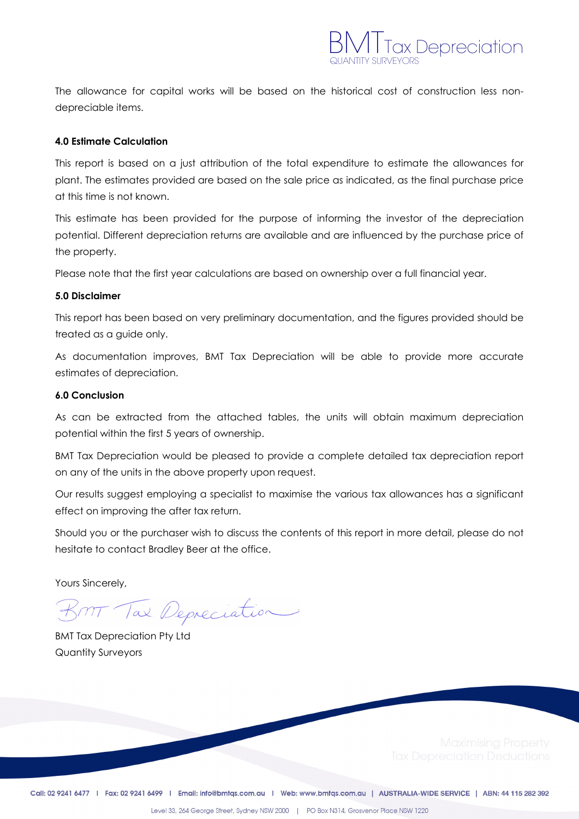

The allowance for capital works will be based on the historical cost of construction less nondepreciable items.

#### **4.0 Estimate Calculation**

This report is based on a just attribution of the total expenditure to estimate the allowances for plant. The estimates provided are based on the sale price as indicated, as the final purchase price at this time is not known.

This estimate has been provided for the purpose of informing the investor of the depreciation potential. Different depreciation returns are available and are influenced by the purchase price of the property.

Please note that the first year calculations are based on ownership over a full financial year.

#### **5.0 Disclaimer**

This report has been based on very preliminary documentation, and the figures provided should be treated as a guide only.

As documentation improves, BMT Tax Depreciation will be able to provide more accurate estimates of depreciation.

#### **6.0 Conclusion**

As can be extracted from the attached tables, the units will obtain maximum depreciation potential within the first 5 years of ownership.

BMT Tax Depreciation would be pleased to provide a complete detailed tax depreciation report on any of the units in the above property upon request.

Our results suggest employing a specialist to maximise the various tax allowances has a significant effect on improving the after tax return.

Should you or the purchaser wish to discuss the contents of this report in more detail, please do not hesitate to contact Bradley Beer at the office.

Yours Sincerely,

BMT Tax Depreciation

BMT Tax Depreciation Pty Ltd Quantity Surveyors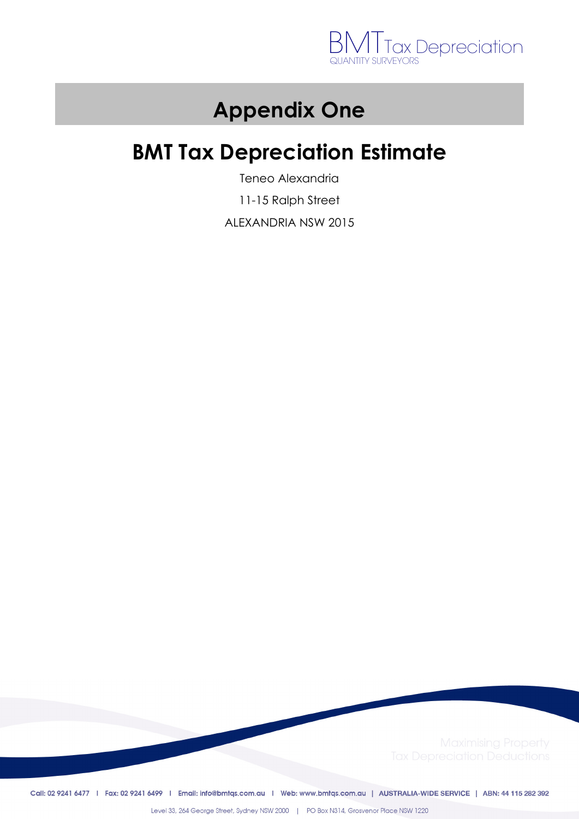

## **Appendix One**

## **BMT Tax Depreciation Estimate**

Teneo Alexandria

11-15 Ralph Street

ALEXANDRIA NSW 2015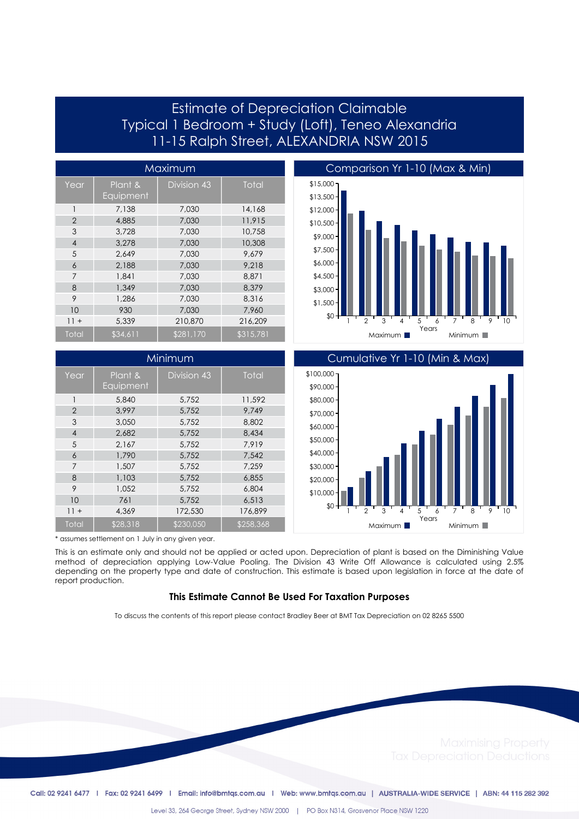## Estimate of Depreciation Claimable Typical 1 Bedroom + Study (Loft), Teneo Alexandria 11-15 Ralph Street, ALEXANDRIA NSW 2015

| Maximum        |                      |             |              |
|----------------|----------------------|-------------|--------------|
| Year           | Plant &<br>Equipment | Division 43 | <b>Total</b> |
| 1              | 7,138                | 7,030       | 14,168       |
| $\overline{2}$ | 4,885                | 7,030       | 11.915       |
| 3              | 3.728                | 7.030       | 10,758       |
| $\overline{4}$ | 3.278                | 7.030       | 10,308       |
| 5              | 2.649                | 7,030       | 9.679        |
| 6              | 2,188                | 7.030       | 9.218        |
| 7              | 1.841                | 7.030       | 8.871        |
| 8              | 1,349                | 7,030       | 8.379        |
| 9              | 1,286                | 7,030       | 8,316        |
| 10             | 930                  | 7.030       | 7,960        |
| $11 +$         | 5,339                | 210,870     | 216,209      |
| Total          | \$34,611             | \$281,170   | \$315,781    |

| Minimum        |                      |                    |              |
|----------------|----------------------|--------------------|--------------|
| Year           | Plant &<br>Equipment | <b>Division 43</b> | <b>Total</b> |
| 1              | 5,840                | 5,752              | 11,592       |
| $\overline{2}$ | 3.997                | 5,752              | 9.749        |
| 3              | 3.050                | 5.752              | 8,802        |
| $\overline{4}$ | 2.682                | 5,752              | 8,434        |
| 5              | 2,167                | 5,752              | 7.919        |
| 6              | 1,790                | 5.752              | 7.542        |
| $\overline{7}$ | 1,507                | 5.752              | 7.259        |
| 8              | 1,103                | 5,752              | 6,855        |
| 9              | 1.052                | 5.752              | 6.804        |
| 10             | 761                  | 5.752              | 6.513        |
| $11 +$         | 4.369                | 172,530            | 176.899      |
| Total          | \$28,318             | \$230,050          | \$258,368    |





\* assumes settlement on 1 July in any given year.

This is an estimate only and should not be applied or acted upon. Depreciation of plant is based on the Diminishing Value method of depreciation applying Low-Value Pooling. The Division 43 Write Off Allowance is calculated using 2.5% depending on the property type and date of construction. This estimate is based upon legislation in force at the date of report production.

#### **This Estimate Cannot Be Used For Taxation Purposes**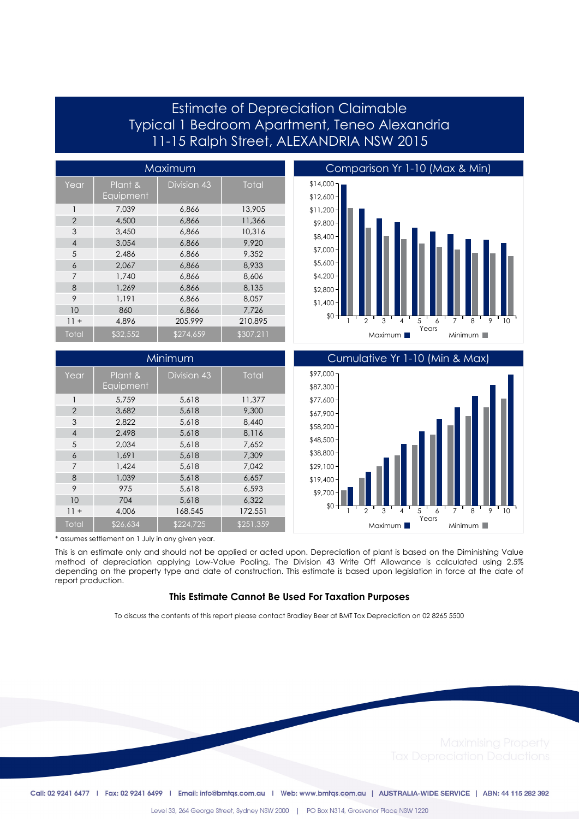## Estimate of Depreciation Claimable Typical 1 Bedroom Apartment, Teneo Alexandria 11-15 Ralph Street, ALEXANDRIA NSW 2015

| Maximum        |                      |             |              |
|----------------|----------------------|-------------|--------------|
| Year           | Plant &<br>Equipment | Division 43 | <b>Total</b> |
| 1              | 7.039                | 6,866       | 13,905       |
| $\overline{2}$ | 4,500                | 6,866       | 11,366       |
| 3              | 3.450                | 6.866       | 10,316       |
| $\overline{4}$ | 3.054                | 6,866       | 9.920        |
| 5              | 2,486                | 6,866       | 9.352        |
| 6              | 2.067                | 6,866       | 8.933        |
| 7              | 1,740                | 6,866       | 8,606        |
| 8              | 1,269                | 6,866       | 8,135        |
| 9              | 1,191                | 6,866       | 8.057        |
| 10             | 860                  | 6,866       | 7,726        |
| $11 +$         | 4.896                | 205,999     | 210.895      |
| Total          | \$32,552             | \$274,659   | \$307,211    |

| Minimum        |                      |             |              |
|----------------|----------------------|-------------|--------------|
| Year           | Plant &<br>Equipment | Division 43 | <b>Total</b> |
| 1              | 5.759                | 5,618       | 11,377       |
| $\overline{2}$ | 3,682                | 5,618       | 9,300        |
| 3              | 2,822                | 5,618       | 8,440        |
| $\overline{4}$ | 2.498                | 5.618       | 8.116        |
| 5              | 2,034                | 5,618       | 7,652        |
| 6              | 1,691                | 5,618       | 7.309        |
| $\overline{7}$ | 1.424                | 5.618       | 7.042        |
| 8              | 1,039                | 5,618       | 6,657        |
| 9              | 975                  | 5.618       | 6.593        |
| 10             | 704                  | 5.618       | 6.322        |
| $11 +$         | 4,006                | 168,545     | 172,551      |
| Total          | \$26,634             | \$224,725   | \$251,359    |





\* assumes settlement on 1 July in any given year.

This is an estimate only and should not be applied or acted upon. Depreciation of plant is based on the Diminishing Value method of depreciation applying Low-Value Pooling. The Division 43 Write Off Allowance is calculated using 2.5% depending on the property type and date of construction. This estimate is based upon legislation in force at the date of report production.

#### **This Estimate Cannot Be Used For Taxation Purposes**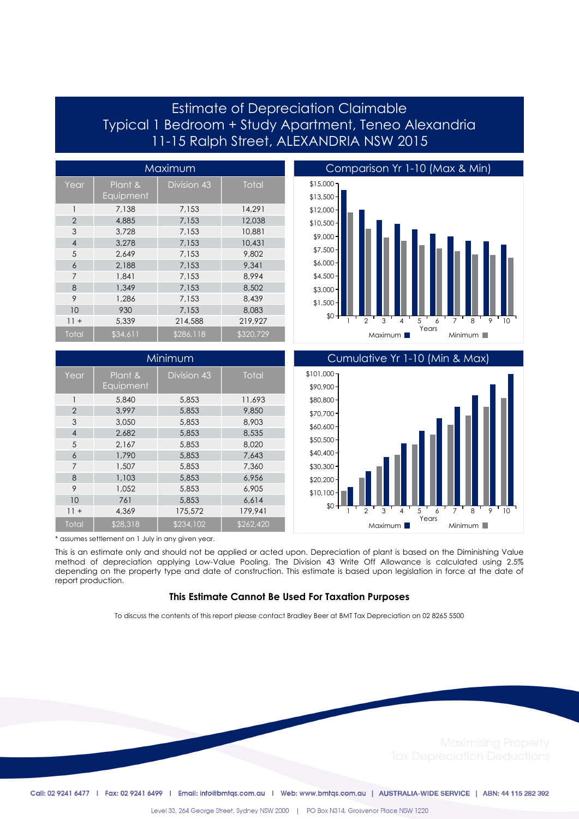## Estimate of Depreciation Claimable Typical 1 Bedroom + Study Apartment, Teneo Alexandria 11-15 Ralph Street, ALEXANDRIA NSW 2015

| Maximum        |                      |             |           |
|----------------|----------------------|-------------|-----------|
| Year           | Plant &<br>Equipment | Division 43 | Total     |
| 1              | 7,138                | 7,153       | 14,291    |
| $\overline{2}$ | 4,885                | 7,153       | 12.038    |
| 3              | 3.728                | 7.153       | 10.881    |
| $\overline{4}$ | 3.278                | 7,153       | 10.431    |
| 5              | 2.649                | 7,153       | 9,802     |
| 6              | 2,188                | 7,153       | 9.341     |
| 7              | 1,841                | 7.153       | 8.994     |
| 8              | 1,349                | 7,153       | 8.502     |
| 9              | 1,286                | 7,153       | 8.439     |
| 10             | 930                  | 7,153       | 8.083     |
| $11 +$         | 5.339                | 214,588     | 219.927   |
| Total          | \$34,611             | \$286,118   | \$320,729 |

| Minimum        |                      |                    |           |
|----------------|----------------------|--------------------|-----------|
| Year           | Plant &<br>Equipment | <b>Division 43</b> | Total     |
| 1              | 5,840                | 5,853              | 11,693    |
| $\overline{2}$ | 3.997                | 5,853              | 9,850     |
| 3              | 3.050                | 5,853              | 8,903     |
| $\overline{4}$ | 2.682                | 5,853              | 8.535     |
| 5              | 2,167                | 5,853              | 8,020     |
| 6              | 1,790                | 5,853              | 7.643     |
| $\overline{7}$ | 1,507                | 5,853              | 7,360     |
| 8              | 1,103                | 5,853              | 6,956     |
| 9              | 1.052                | 5,853              | 6,905     |
| 10             | 761                  | 5,853              | 6,614     |
| $11 +$         | 4,369                | 175,572            | 179.941   |
| Total          | \$28,318             | \$234,102          | \$262,420 |





\* assumes settlement on 1 July in any given year.

This is an estimate only and should not be applied or acted upon. Depreciation of plant is based on the Diminishing Value method of depreciation applying Low-Value Pooling. The Division 43 Write Off Allowance is calculated using 2.5% depending on the property type and date of construction. This estimate is based upon legislation in force at the date of report production.

#### **This Estimate Cannot Be Used For Taxation Purposes**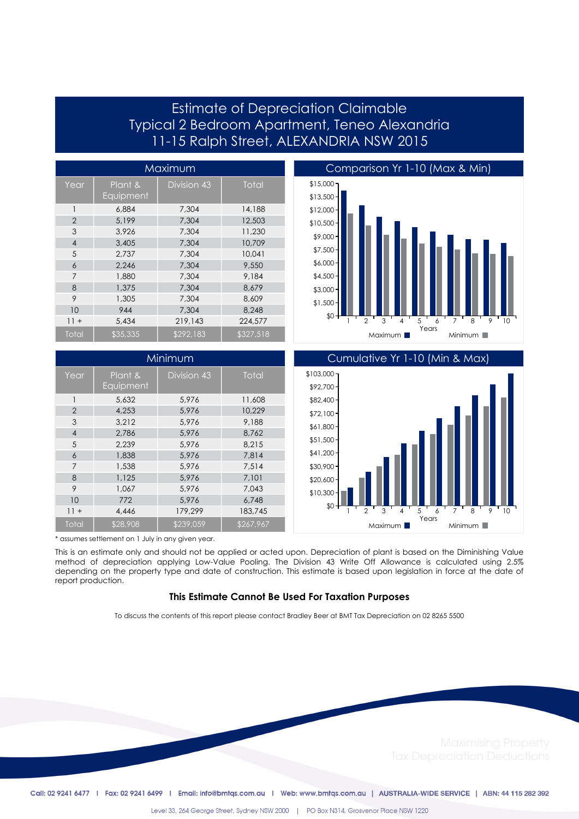## Estimate of Depreciation Claimable Typical 2 Bedroom Apartment, Teneo Alexandria 11-15 Ralph Street, ALEXANDRIA NSW 2015

| Maximum        |                      |             |              |
|----------------|----------------------|-------------|--------------|
| Year           | Plant &<br>Equipment | Division 43 | <b>Total</b> |
| 1              | 6,884                | 7,304       | 14,188       |
| $\overline{2}$ | 5.199                | 7.304       | 12,503       |
| 3              | 3.926                | 7.304       | 11,230       |
| $\overline{4}$ | 3,405                | 7.304       | 10,709       |
| 5              | 2,737                | 7.304       | 10,041       |
| 6              | 2.246                | 7.304       | 9,550        |
| 7              | 1,880                | 7.304       | 9.184        |
| 8              | 1,375                | 7.304       | 8.679        |
| 9              | 1,305                | 7.304       | 8.609        |
| 10             | 944                  | 7.304       | 8,248        |
| $11 +$         | 5.434                | 219,143     | 224,577      |
| Total          | \$35,335             | \$292,183   | \$327,518    |

| Minimum        |                      |             |           |
|----------------|----------------------|-------------|-----------|
| Year           | Plant &<br>Equipment | Division 43 | Total     |
| 1              | 5.632                | 5.976       | 11,608    |
| $\overline{2}$ | 4.253                | 5,976       | 10.229    |
| 3              | 3.212                | 5.976       | 9.188     |
| $\overline{4}$ | 2.786                | 5.976       | 8.762     |
| 5              | 2.239                | 5.976       | 8.215     |
| 6              | 1,838                | 5.976       | 7.814     |
| $\overline{7}$ | 1,538                | 5.976       | 7.514     |
| 8              | 1,125                | 5,976       | 7.101     |
| 9              | 1.067                | 5.976       | 7.043     |
| 10             | 772                  | 5,976       | 6,748     |
| $11 +$         | 4,446                | 179,299     | 183,745   |
| Total          | \$28,908             | \$239,059   | \$267,967 |





\* assumes settlement on 1 July in any given year.

This is an estimate only and should not be applied or acted upon. Depreciation of plant is based on the Diminishing Value method of depreciation applying Low-Value Pooling. The Division 43 Write Off Allowance is calculated using 2.5% depending on the property type and date of construction. This estimate is based upon legislation in force at the date of report production.

#### **This Estimate Cannot Be Used For Taxation Purposes**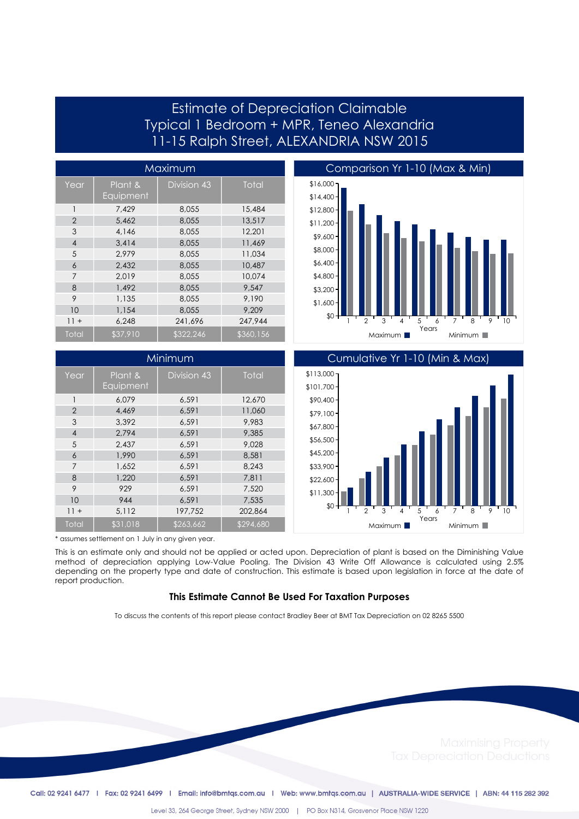## Estimate of Depreciation Claimable Typical 1 Bedroom + MPR, Teneo Alexandria 11-15 Ralph Street, ALEXANDRIA NSW 2015

| Maximum        |                      |             |              |
|----------------|----------------------|-------------|--------------|
| Year           | Plant &<br>Equipment | Division 43 | <b>Total</b> |
| 1              | 7.429                | 8,055       | 15,484       |
| $\overline{2}$ | 5.462                | 8.055       | 13,517       |
| 3              | 4.146                | 8.055       | 12.201       |
| $\overline{4}$ | 3.414                | 8.055       | 11,469       |
| 5              | 2.979                | 8.055       | 11.034       |
| 6              | 2.432                | 8.055       | 10,487       |
| 7              | 2.019                | 8.055       | 10.074       |
| 8              | 1.492                | 8.055       | 9.547        |
| 9              | 1,135                | 8,055       | 9.190        |
| 10             | 1,154                | 8.055       | 9.209        |
| $11 +$         | 6.248                | 241.696     | 247.944      |
| Total          | \$37,910             | \$322,246   | \$360,156    |

| Minimum        |                      |             |              |
|----------------|----------------------|-------------|--------------|
| Year           | Plant &<br>Equipment | Division 43 | <b>Total</b> |
| 1              | 6.079                | 6.591       | 12,670       |
| $\overline{2}$ | 4.469                | 6.591       | 11,060       |
| 3              | 3.392                | 6.591       | 9.983        |
| $\overline{4}$ | 2.794                | 6,591       | 9.385        |
| 5              | 2.437                | 6,591       | 9.028        |
| 6              | 1,990                | 6.591       | 8,581        |
| $\overline{7}$ | 1,652                | 6,591       | 8,243        |
| 8              | 1,220                | 6,591       | 7,811        |
| 9              | 929                  | 6.591       | 7,520        |
| 10             | 944                  | 6,591       | 7,535        |
| $11 +$         | 5,112                | 197.752     | 202.864      |
| Total          | \$31,018             | \$263,662   | \$294,680    |





\* assumes settlement on 1 July in any given year.

This is an estimate only and should not be applied or acted upon. Depreciation of plant is based on the Diminishing Value method of depreciation applying Low-Value Pooling. The Division 43 Write Off Allowance is calculated using 2.5% depending on the property type and date of construction. This estimate is based upon legislation in force at the date of report production.

#### **This Estimate Cannot Be Used For Taxation Purposes**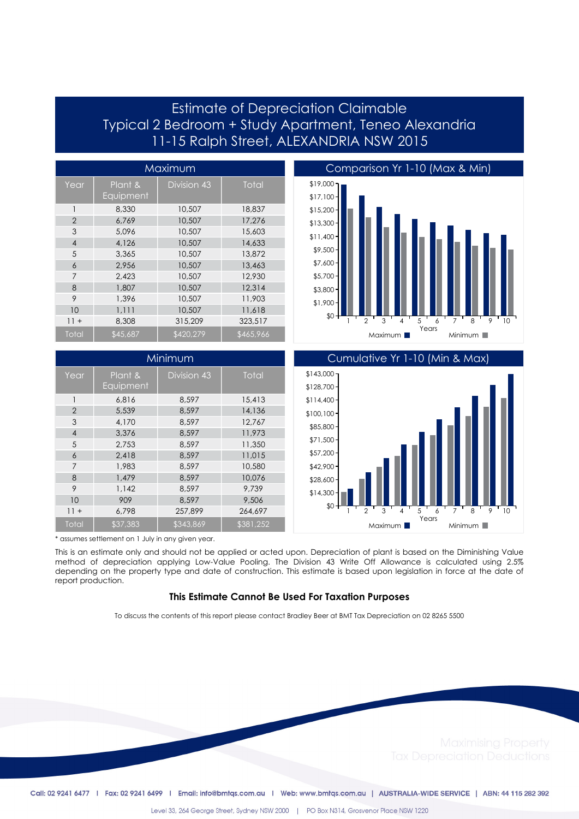## Estimate of Depreciation Claimable Typical 2 Bedroom + Study Apartment, Teneo Alexandria 11-15 Ralph Street, ALEXANDRIA NSW 2015

| Maximum        |                      |                    |           |
|----------------|----------------------|--------------------|-----------|
| Year           | Plant &<br>Equipment | <b>Division 43</b> | Total     |
| 1              | 8,330                | 10,507             | 18,837    |
| $\overline{2}$ | 6.769                | 10,507             | 17.276    |
| 3              | 5.096                | 10,507             | 15,603    |
| $\overline{4}$ | 4,126                | 10,507             | 14,633    |
| 5              | 3,365                | 10,507             | 13,872    |
| 6              | 2,956                | 10,507             | 13,463    |
| 7              | 2.423                | 10,507             | 12,930    |
| 8              | 1,807                | 10,507             | 12,314    |
| 9              | 1,396                | 10,507             | 11,903    |
| 10             | 1,111                | 10,507             | 11,618    |
| $11 +$         | 8,308                | 315,209            | 323,517   |
| Total          | \$45,687             | \$420,279          | \$465,966 |







\* assumes settlement on 1 July in any given year.

This is an estimate only and should not be applied or acted upon. Depreciation of plant is based on the Diminishing Value method of depreciation applying Low-Value Pooling. The Division 43 Write Off Allowance is calculated using 2.5% depending on the property type and date of construction. This estimate is based upon legislation in force at the date of report production.

#### **This Estimate Cannot Be Used For Taxation Purposes**